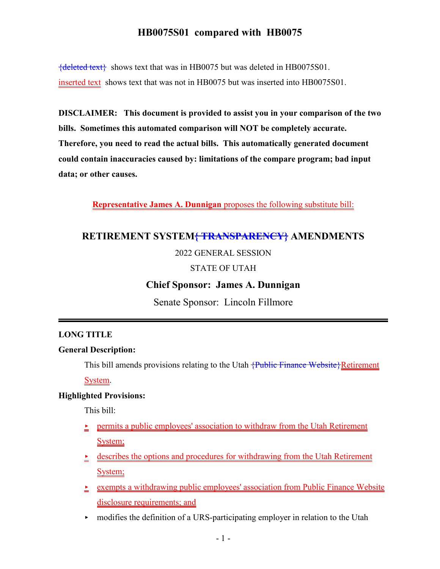${deleted text}$  shows text that was in HB0075 but was deleted in HB0075S01. inserted text shows text that was not in HB0075 but was inserted into HB0075S01.

**DISCLAIMER: This document is provided to assist you in your comparison of the two bills. Sometimes this automated comparison will NOT be completely accurate. Therefore, you need to read the actual bills. This automatically generated document could contain inaccuracies caused by: limitations of the compare program; bad input data; or other causes.**

**Representative James A. Dunnigan** proposes the following substitute bill:

## **RETIREMENT SYSTEM{ TRANSPARENCY} AMENDMENTS**

#### 2022 GENERAL SESSION

### STATE OF UTAH

## **Chief Sponsor: James A. Dunnigan**

Senate Sponsor: Lincoln Fillmore

#### **LONG TITLE**

#### **General Description:**

This bill amends provisions relating to the Utah {Public Finance Website}Retirement

System.

#### **Highlighted Provisions:**

This bill:

- $\geq$  permits a public employees' association to withdraw from the Utah Retirement System;
- $\geq$  describes the options and procedures for withdrawing from the Utah Retirement System;
- $\geq$  exempts a withdrawing public employees' association from Public Finance Website disclosure requirements; and
- $\rightarrow$  modifies the definition of a URS-participating employer in relation to the Utah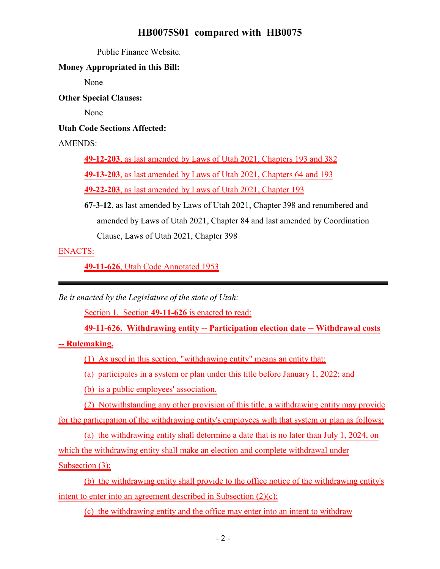Public Finance Website.

## **Money Appropriated in this Bill:**

None

## **Other Special Clauses:**

None

## **Utah Code Sections Affected:**

## AMENDS:

**49-12-203**, as last amended by Laws of Utah 2021, Chapters 193 and 382

**49-13-203**, as last amended by Laws of Utah 2021, Chapters 64 and 193

**49-22-203**, as last amended by Laws of Utah 2021, Chapter 193

**67-3-12**, as last amended by Laws of Utah 2021, Chapter 398 and renumbered and amended by Laws of Utah 2021, Chapter 84 and last amended by Coordination Clause, Laws of Utah 2021, Chapter 398

## ENACTS:

**49-11-626**, Utah Code Annotated 1953

*Be it enacted by the Legislature of the state of Utah:*

Section 1. Section **49-11-626** is enacted to read:

**49-11-626. Withdrawing entity -- Participation election date -- Withdrawal costs**

## **-- Rulemaking.**

(1) As used in this section, "withdrawing entity" means an entity that:

(a) participates in a system or plan under this title before January 1, 2022; and

(b) is a public employees' association.

(2) Notwithstanding any other provision of this title, a withdrawing entity may provide for the participation of the withdrawing entity's employees with that system or plan as follows:

(a) the withdrawing entity shall determine a date that is no later than July 1, 2024, on which the withdrawing entity shall make an election and complete withdrawal under Subsection (3);

(b) the withdrawing entity shall provide to the office notice of the withdrawing entity's intent to enter into an agreement described in Subsection (2)(c);

(c) the withdrawing entity and the office may enter into an intent to withdraw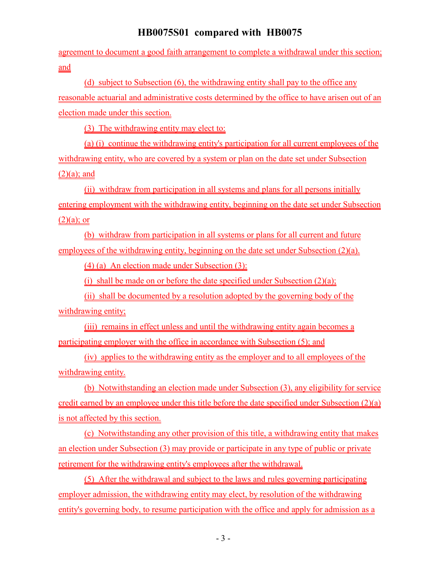agreement to document a good faith arrangement to complete a withdrawal under this section; and

(d) subject to Subsection (6), the withdrawing entity shall pay to the office any reasonable actuarial and administrative costs determined by the office to have arisen out of an election made under this section.

(3) The withdrawing entity may elect to:

(a) (i) continue the withdrawing entity's participation for all current employees of the withdrawing entity, who are covered by a system or plan on the date set under Subsection  $(2)(a)$ ; and

(ii) withdraw from participation in all systems and plans for all persons initially entering employment with the withdrawing entity, beginning on the date set under Subsection  $(2)(a)$ ; or

(b) withdraw from participation in all systems or plans for all current and future employees of the withdrawing entity, beginning on the date set under Subsection (2)(a).

(4) (a) An election made under Subsection (3):

(i) shall be made on or before the date specified under Subsection  $(2)(a)$ ;

(ii) shall be documented by a resolution adopted by the governing body of the withdrawing entity;

(iii) remains in effect unless and until the withdrawing entity again becomes a participating employer with the office in accordance with Subsection (5); and

(iv) applies to the withdrawing entity as the employer and to all employees of the withdrawing entity.

(b) Notwithstanding an election made under Subsection (3), any eligibility for service credit earned by an employee under this title before the date specified under Subsection (2)(a) is not affected by this section.

(c) Notwithstanding any other provision of this title, a withdrawing entity that makes an election under Subsection (3) may provide or participate in any type of public or private retirement for the withdrawing entity's employees after the withdrawal.

(5) After the withdrawal and subject to the laws and rules governing participating employer admission, the withdrawing entity may elect, by resolution of the withdrawing entity's governing body, to resume participation with the office and apply for admission as a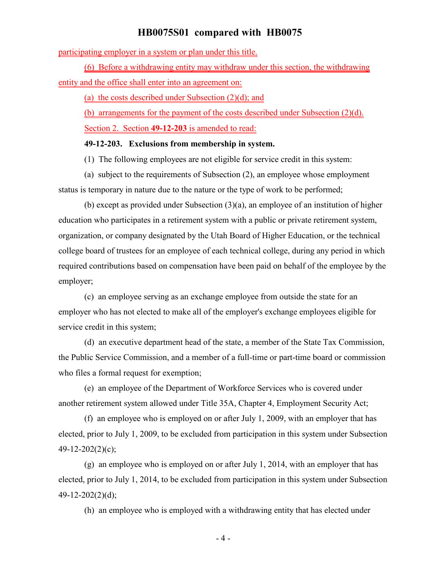participating employer in a system or plan under this title.

(6) Before a withdrawing entity may withdraw under this section, the withdrawing entity and the office shall enter into an agreement on:

(a) the costs described under Subsection (2)(d); and

(b) arrangements for the payment of the costs described under Subsection (2)(d).

Section 2. Section **49-12-203** is amended to read:

#### **49-12-203. Exclusions from membership in system.**

(1) The following employees are not eligible for service credit in this system:

(a) subject to the requirements of Subsection (2), an employee whose employment status is temporary in nature due to the nature or the type of work to be performed;

(b) except as provided under Subsection (3)(a), an employee of an institution of higher education who participates in a retirement system with a public or private retirement system, organization, or company designated by the Utah Board of Higher Education, or the technical college board of trustees for an employee of each technical college, during any period in which required contributions based on compensation have been paid on behalf of the employee by the employer;

(c) an employee serving as an exchange employee from outside the state for an employer who has not elected to make all of the employer's exchange employees eligible for service credit in this system;

(d) an executive department head of the state, a member of the State Tax Commission, the Public Service Commission, and a member of a full-time or part-time board or commission who files a formal request for exemption;

(e) an employee of the Department of Workforce Services who is covered under another retirement system allowed under Title 35A, Chapter 4, Employment Security Act;

(f) an employee who is employed on or after July 1, 2009, with an employer that has elected, prior to July 1, 2009, to be excluded from participation in this system under Subsection 49-12-202(2)(c);

(g) an employee who is employed on or after July 1, 2014, with an employer that has elected, prior to July 1, 2014, to be excluded from participation in this system under Subsection  $49-12-202(2)(d);$ 

(h) an employee who is employed with a withdrawing entity that has elected under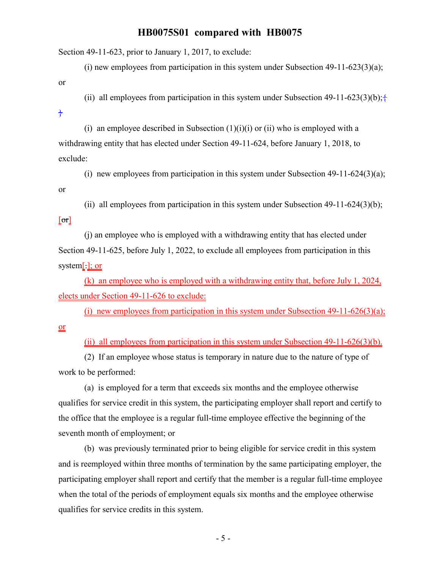Section 49-11-623, prior to January 1, 2017, to exclude:

(i) new employees from participation in this system under Subsection  $49-11-623(3)(a)$ ; or

(ii) all employees from participation in this system under Subsection 49-11-623(3)(b); $\pm$ 

}

(i) an employee described in Subsection  $(1)(i)(i)$  or  $(ii)$  who is employed with a withdrawing entity that has elected under Section 49-11-624, before January 1, 2018, to exclude:

(i) new employees from participation in this system under Subsection  $49-11-624(3)(a)$ ; or

(ii) all employees from participation in this system under Subsection  $49-11-624(3)(b)$ ;

#### [or]

(j) an employee who is employed with a withdrawing entity that has elected under Section 49-11-625, before July 1, 2022, to exclude all employees from participation in this system[.]; or

(k) an employee who is employed with a withdrawing entity that, before July 1, 2024, elects under Section 49-11-626 to exclude:

(i) new employees from participation in this system under Subsection  $49-11-626(3)(a)$ ;

or

(ii) all employees from participation in this system under Subsection 49-11-626(3)(b).

(2) If an employee whose status is temporary in nature due to the nature of type of work to be performed:

(a) is employed for a term that exceeds six months and the employee otherwise qualifies for service credit in this system, the participating employer shall report and certify to the office that the employee is a regular full-time employee effective the beginning of the seventh month of employment; or

(b) was previously terminated prior to being eligible for service credit in this system and is reemployed within three months of termination by the same participating employer, the participating employer shall report and certify that the member is a regular full-time employee when the total of the periods of employment equals six months and the employee otherwise qualifies for service credits in this system.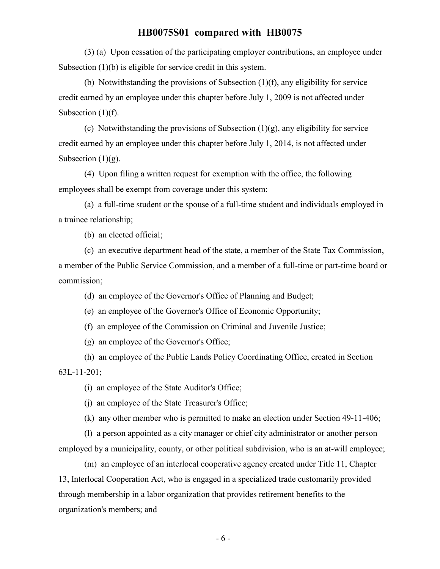(3) (a) Upon cessation of the participating employer contributions, an employee under Subsection (1)(b) is eligible for service credit in this system.

(b) Notwithstanding the provisions of Subsection (1)(f), any eligibility for service credit earned by an employee under this chapter before July 1, 2009 is not affected under Subsection (1)(f).

(c) Notwithstanding the provisions of Subsection  $(1)(g)$ , any eligibility for service credit earned by an employee under this chapter before July 1, 2014, is not affected under Subsection  $(1)(g)$ .

(4) Upon filing a written request for exemption with the office, the following employees shall be exempt from coverage under this system:

(a) a full-time student or the spouse of a full-time student and individuals employed in a trainee relationship;

(b) an elected official;

(c) an executive department head of the state, a member of the State Tax Commission, a member of the Public Service Commission, and a member of a full-time or part-time board or commission;

(d) an employee of the Governor's Office of Planning and Budget;

(e) an employee of the Governor's Office of Economic Opportunity;

(f) an employee of the Commission on Criminal and Juvenile Justice;

(g) an employee of the Governor's Office;

(h) an employee of the Public Lands Policy Coordinating Office, created in Section 63L-11-201;

(i) an employee of the State Auditor's Office;

(j) an employee of the State Treasurer's Office;

(k) any other member who is permitted to make an election under Section 49-11-406;

(l) a person appointed as a city manager or chief city administrator or another person employed by a municipality, county, or other political subdivision, who is an at-will employee;

(m) an employee of an interlocal cooperative agency created under Title 11, Chapter 13, Interlocal Cooperation Act, who is engaged in a specialized trade customarily provided through membership in a labor organization that provides retirement benefits to the organization's members; and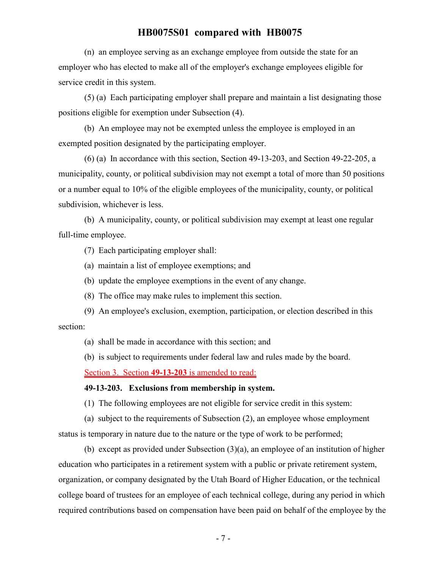(n) an employee serving as an exchange employee from outside the state for an employer who has elected to make all of the employer's exchange employees eligible for service credit in this system.

(5) (a) Each participating employer shall prepare and maintain a list designating those positions eligible for exemption under Subsection (4).

(b) An employee may not be exempted unless the employee is employed in an exempted position designated by the participating employer.

(6) (a) In accordance with this section, Section 49-13-203, and Section 49-22-205, a municipality, county, or political subdivision may not exempt a total of more than 50 positions or a number equal to 10% of the eligible employees of the municipality, county, or political subdivision, whichever is less.

(b) A municipality, county, or political subdivision may exempt at least one regular full-time employee.

(7) Each participating employer shall:

(a) maintain a list of employee exemptions; and

(b) update the employee exemptions in the event of any change.

(8) The office may make rules to implement this section.

(9) An employee's exclusion, exemption, participation, or election described in this section:

(a) shall be made in accordance with this section; and

(b) is subject to requirements under federal law and rules made by the board.

Section 3. Section **49-13-203** is amended to read:

#### **49-13-203. Exclusions from membership in system.**

(1) The following employees are not eligible for service credit in this system:

(a) subject to the requirements of Subsection (2), an employee whose employment status is temporary in nature due to the nature or the type of work to be performed;

(b) except as provided under Subsection (3)(a), an employee of an institution of higher education who participates in a retirement system with a public or private retirement system, organization, or company designated by the Utah Board of Higher Education, or the technical college board of trustees for an employee of each technical college, during any period in which required contributions based on compensation have been paid on behalf of the employee by the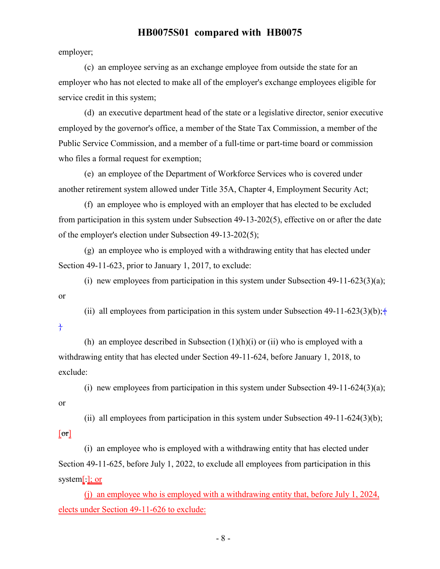employer;

(c) an employee serving as an exchange employee from outside the state for an employer who has not elected to make all of the employer's exchange employees eligible for service credit in this system;

(d) an executive department head of the state or a legislative director, senior executive employed by the governor's office, a member of the State Tax Commission, a member of the Public Service Commission, and a member of a full-time or part-time board or commission who files a formal request for exemption;

(e) an employee of the Department of Workforce Services who is covered under another retirement system allowed under Title 35A, Chapter 4, Employment Security Act;

(f) an employee who is employed with an employer that has elected to be excluded from participation in this system under Subsection 49-13-202(5), effective on or after the date of the employer's election under Subsection 49-13-202(5);

(g) an employee who is employed with a withdrawing entity that has elected under Section 49-11-623, prior to January 1, 2017, to exclude:

(i) new employees from participation in this system under Subsection  $49-11-623(3)(a)$ ; or

(ii) all employees from participation in this system under Subsection 49-11-623(3)(b); $\frac{1}{2}$ 

}

(h) an employee described in Subsection  $(1)(h)(i)$  or  $(ii)$  who is employed with a withdrawing entity that has elected under Section 49-11-624, before January 1, 2018, to exclude:

(i) new employees from participation in this system under Subsection  $49-11-624(3)(a)$ ; or

(ii) all employees from participation in this system under Subsection  $49-11-624(3)(b)$ ;

[or]

(i) an employee who is employed with a withdrawing entity that has elected under Section 49-11-625, before July 1, 2022, to exclude all employees from participation in this system[.]; or

(j) an employee who is employed with a withdrawing entity that, before July 1, 2024, elects under Section 49-11-626 to exclude: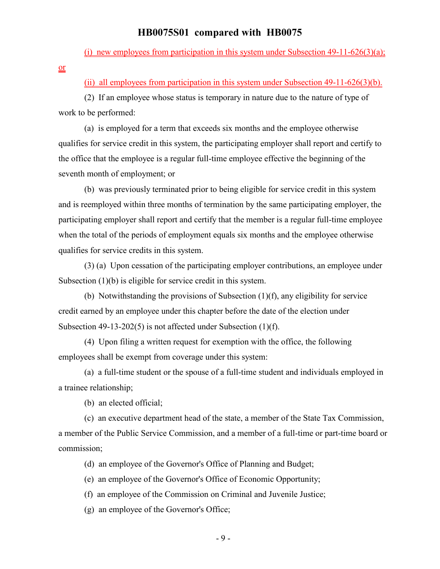(i) new employees from participation in this system under Subsection  $49-11-626(3)(a)$ ;

or

(ii) all employees from participation in this system under Subsection 49-11-626(3)(b).

(2) If an employee whose status is temporary in nature due to the nature of type of work to be performed:

(a) is employed for a term that exceeds six months and the employee otherwise qualifies for service credit in this system, the participating employer shall report and certify to the office that the employee is a regular full-time employee effective the beginning of the seventh month of employment; or

(b) was previously terminated prior to being eligible for service credit in this system and is reemployed within three months of termination by the same participating employer, the participating employer shall report and certify that the member is a regular full-time employee when the total of the periods of employment equals six months and the employee otherwise qualifies for service credits in this system.

(3) (a) Upon cessation of the participating employer contributions, an employee under Subsection (1)(b) is eligible for service credit in this system.

(b) Notwithstanding the provisions of Subsection (1)(f), any eligibility for service credit earned by an employee under this chapter before the date of the election under Subsection 49-13-202(5) is not affected under Subsection (1)(f).

(4) Upon filing a written request for exemption with the office, the following employees shall be exempt from coverage under this system:

(a) a full-time student or the spouse of a full-time student and individuals employed in a trainee relationship;

(b) an elected official;

(c) an executive department head of the state, a member of the State Tax Commission, a member of the Public Service Commission, and a member of a full-time or part-time board or commission;

(d) an employee of the Governor's Office of Planning and Budget;

(e) an employee of the Governor's Office of Economic Opportunity;

(f) an employee of the Commission on Criminal and Juvenile Justice;

(g) an employee of the Governor's Office;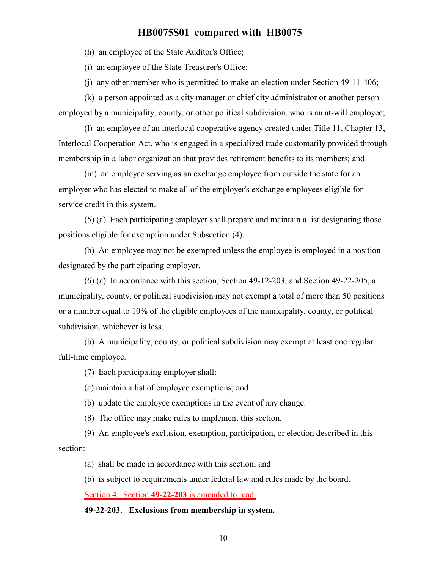(h) an employee of the State Auditor's Office;

(i) an employee of the State Treasurer's Office;

(j) any other member who is permitted to make an election under Section 49-11-406;

(k) a person appointed as a city manager or chief city administrator or another person employed by a municipality, county, or other political subdivision, who is an at-will employee;

(l) an employee of an interlocal cooperative agency created under Title 11, Chapter 13, Interlocal Cooperation Act, who is engaged in a specialized trade customarily provided through membership in a labor organization that provides retirement benefits to its members; and

(m) an employee serving as an exchange employee from outside the state for an employer who has elected to make all of the employer's exchange employees eligible for service credit in this system.

(5) (a) Each participating employer shall prepare and maintain a list designating those positions eligible for exemption under Subsection (4).

(b) An employee may not be exempted unless the employee is employed in a position designated by the participating employer.

(6) (a) In accordance with this section, Section 49-12-203, and Section 49-22-205, a municipality, county, or political subdivision may not exempt a total of more than 50 positions or a number equal to 10% of the eligible employees of the municipality, county, or political subdivision, whichever is less.

(b) A municipality, county, or political subdivision may exempt at least one regular full-time employee.

(7) Each participating employer shall:

(a) maintain a list of employee exemptions; and

(b) update the employee exemptions in the event of any change.

(8) The office may make rules to implement this section.

(9) An employee's exclusion, exemption, participation, or election described in this section:

(a) shall be made in accordance with this section; and

(b) is subject to requirements under federal law and rules made by the board.

Section 4. Section **49-22-203** is amended to read:

**49-22-203. Exclusions from membership in system.**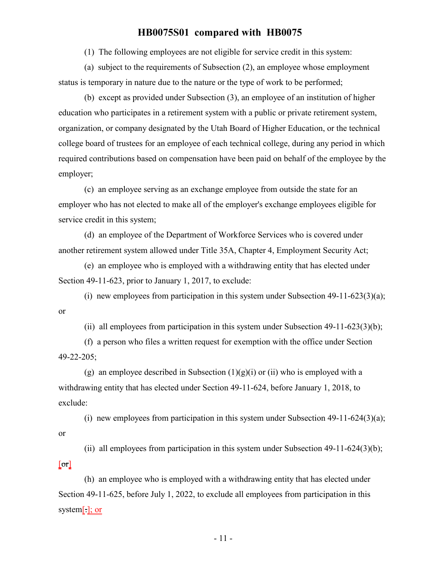(1) The following employees are not eligible for service credit in this system:

(a) subject to the requirements of Subsection (2), an employee whose employment status is temporary in nature due to the nature or the type of work to be performed;

(b) except as provided under Subsection (3), an employee of an institution of higher education who participates in a retirement system with a public or private retirement system, organization, or company designated by the Utah Board of Higher Education, or the technical college board of trustees for an employee of each technical college, during any period in which required contributions based on compensation have been paid on behalf of the employee by the employer;

(c) an employee serving as an exchange employee from outside the state for an employer who has not elected to make all of the employer's exchange employees eligible for service credit in this system;

(d) an employee of the Department of Workforce Services who is covered under another retirement system allowed under Title 35A, Chapter 4, Employment Security Act;

(e) an employee who is employed with a withdrawing entity that has elected under Section 49-11-623, prior to January 1, 2017, to exclude:

(i) new employees from participation in this system under Subsection  $49-11-623(3)(a)$ ; or

(ii) all employees from participation in this system under Subsection  $49-11-623(3)(b)$ ;

(f) a person who files a written request for exemption with the office under Section 49-22-205;

(g) an employee described in Subsection  $(1)(g)(i)$  or  $(ii)$  who is employed with a withdrawing entity that has elected under Section 49-11-624, before January 1, 2018, to exclude:

(i) new employees from participation in this system under Subsection  $49-11-624(3)(a)$ ; or

(ii) all employees from participation in this system under Subsection 49-11-624(3)(b); [or]

(h) an employee who is employed with a withdrawing entity that has elected under Section 49-11-625, before July 1, 2022, to exclude all employees from participation in this system[ $\cdot$ ]; or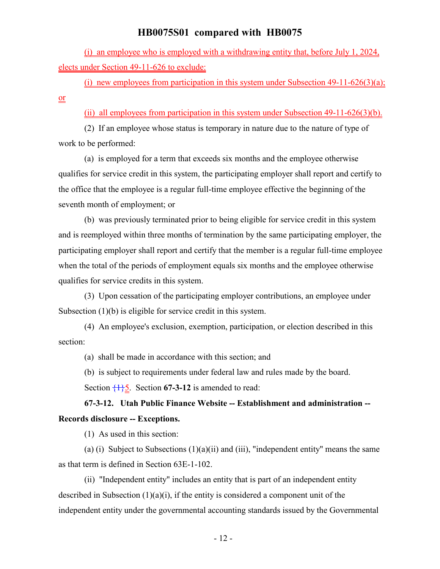(i) an employee who is employed with a withdrawing entity that, before July 1, 2024, elects under Section 49-11-626 to exclude:

(i) new employees from participation in this system under Subsection  $49-11-626(3)(a)$ ;

(ii) all employees from participation in this system under Subsection 49-11-626(3)(b).

(2) If an employee whose status is temporary in nature due to the nature of type of work to be performed:

(a) is employed for a term that exceeds six months and the employee otherwise qualifies for service credit in this system, the participating employer shall report and certify to the office that the employee is a regular full-time employee effective the beginning of the seventh month of employment; or

(b) was previously terminated prior to being eligible for service credit in this system and is reemployed within three months of termination by the same participating employer, the participating employer shall report and certify that the member is a regular full-time employee when the total of the periods of employment equals six months and the employee otherwise qualifies for service credits in this system.

(3) Upon cessation of the participating employer contributions, an employee under Subsection (1)(b) is eligible for service credit in this system.

(4) An employee's exclusion, exemption, participation, or election described in this section:

(a) shall be made in accordance with this section; and

(b) is subject to requirements under federal law and rules made by the board.

Section  $\overline{1}\overline{1}$ . Section **67-3-12** is amended to read:

# **67-3-12. Utah Public Finance Website -- Establishment and administration -- Records disclosure -- Exceptions.**

(1) As used in this section:

or

(a) (i) Subject to Subsections  $(1)(a)(ii)$  and  $(iii)$ , "independent entity" means the same as that term is defined in Section 63E-1-102.

(ii) "Independent entity" includes an entity that is part of an independent entity described in Subsection  $(1)(a)(i)$ , if the entity is considered a component unit of the independent entity under the governmental accounting standards issued by the Governmental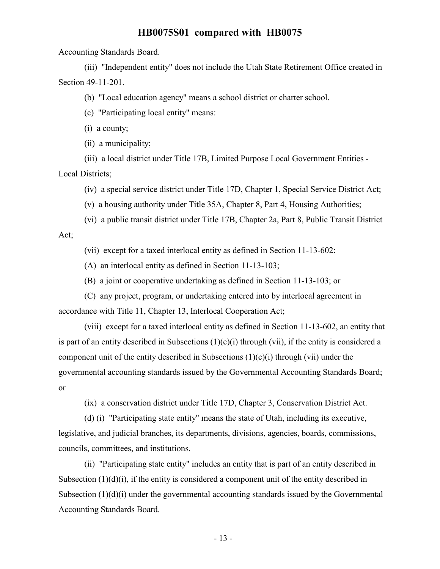Accounting Standards Board.

(iii) "Independent entity" does not include the Utah State Retirement Office created in Section 49-11-201.

(b) "Local education agency" means a school district or charter school.

(c) "Participating local entity" means:

(i) a county;

(ii) a municipality;

(iii) a local district under Title 17B, Limited Purpose Local Government Entities -

Local Districts;

(iv) a special service district under Title 17D, Chapter 1, Special Service District Act;

(v) a housing authority under Title 35A, Chapter 8, Part 4, Housing Authorities;

(vi) a public transit district under Title 17B, Chapter 2a, Part 8, Public Transit District

Act;

(vii) except for a taxed interlocal entity as defined in Section 11-13-602:

(A) an interlocal entity as defined in Section 11-13-103;

(B) a joint or cooperative undertaking as defined in Section 11-13-103; or

(C) any project, program, or undertaking entered into by interlocal agreement in accordance with Title 11, Chapter 13, Interlocal Cooperation Act;

(viii) except for a taxed interlocal entity as defined in Section 11-13-602, an entity that is part of an entity described in Subsections  $(1)(c)(i)$  through (vii), if the entity is considered a component unit of the entity described in Subsections  $(1)(c)(i)$  through (vii) under the governmental accounting standards issued by the Governmental Accounting Standards Board; or

(ix) a conservation district under Title 17D, Chapter 3, Conservation District Act.

(d) (i) "Participating state entity" means the state of Utah, including its executive, legislative, and judicial branches, its departments, divisions, agencies, boards, commissions, councils, committees, and institutions.

(ii) "Participating state entity" includes an entity that is part of an entity described in Subsection  $(1)(d)(i)$ , if the entity is considered a component unit of the entity described in Subsection (1)(d)(i) under the governmental accounting standards issued by the Governmental Accounting Standards Board.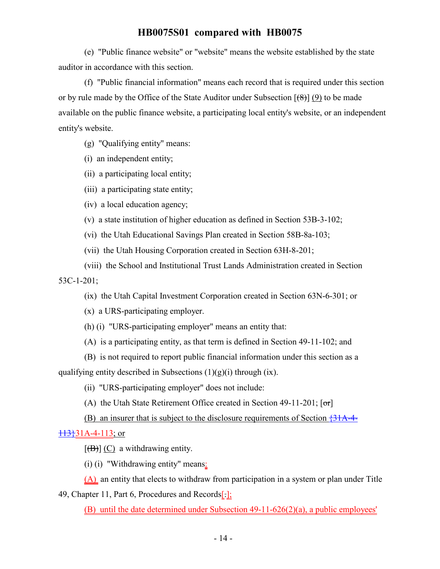(e) "Public finance website" or "website" means the website established by the state auditor in accordance with this section.

(f) "Public financial information" means each record that is required under this section or by rule made by the Office of the State Auditor under Subsection  $[\frac{1}{8}]$  (9) to be made available on the public finance website, a participating local entity's website, or an independent entity's website.

(g) "Qualifying entity" means:

(i) an independent entity;

(ii) a participating local entity;

(iii) a participating state entity;

(iv) a local education agency;

(v) a state institution of higher education as defined in Section 53B-3-102;

(vi) the Utah Educational Savings Plan created in Section 58B-8a-103;

(vii) the Utah Housing Corporation created in Section 63H-8-201;

(viii) the School and Institutional Trust Lands Administration created in Section 53C-1-201;

(ix) the Utah Capital Investment Corporation created in Section 63N-6-301; or

(x) a URS-participating employer.

(h) (i) "URS-participating employer" means an entity that:

(A) is a participating entity, as that term is defined in Section 49-11-102; and

(B) is not required to report public financial information under this section as a qualifying entity described in Subsections  $(1)(g)(i)$  through  $(ix)$ .

(ii) "URS-participating employer" does not include:

(A) the Utah State Retirement Office created in Section 49-11-201;  $[\sigma r]$ 

(B) an insurer that is subject to the disclosure requirements of Section  $\overline{31A-4}$ 

113}31A-4-113; or

 $[\overline{(B)}]$  (C) a withdrawing entity.

(i) (i) "Withdrawing entity" means:

(A) an entity that elects to withdraw from participation in a system or plan under Title

49, Chapter 11, Part 6, Procedures and Records[.];

(B) until the date determined under Subsection 49-11-626(2)(a), a public employees'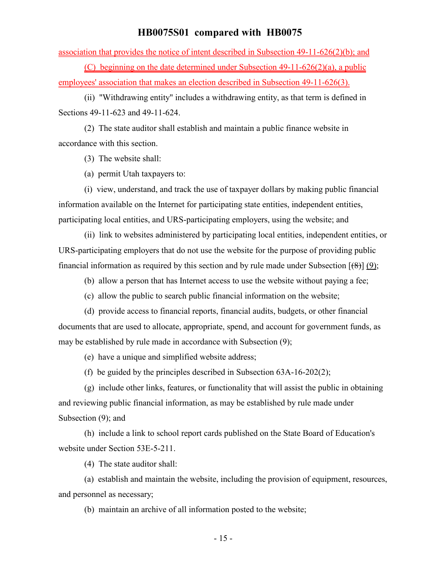association that provides the notice of intent described in Subsection 49-11-626(2)(b); and

(C) beginning on the date determined under Subsection 49-11-626(2)(a), a public employees' association that makes an election described in Subsection 49-11-626(3).

(ii) "Withdrawing entity" includes a withdrawing entity, as that term is defined in Sections 49-11-623 and 49-11-624.

(2) The state auditor shall establish and maintain a public finance website in accordance with this section.

(3) The website shall:

(a) permit Utah taxpayers to:

(i) view, understand, and track the use of taxpayer dollars by making public financial information available on the Internet for participating state entities, independent entities, participating local entities, and URS-participating employers, using the website; and

(ii) link to websites administered by participating local entities, independent entities, or URS-participating employers that do not use the website for the purpose of providing public financial information as required by this section and by rule made under Subsection  $[\frac{1}{8}]$  (9);

(b) allow a person that has Internet access to use the website without paying a fee;

(c) allow the public to search public financial information on the website;

(d) provide access to financial reports, financial audits, budgets, or other financial documents that are used to allocate, appropriate, spend, and account for government funds, as may be established by rule made in accordance with Subsection (9);

(e) have a unique and simplified website address;

(f) be guided by the principles described in Subsection 63A-16-202(2);

(g) include other links, features, or functionality that will assist the public in obtaining and reviewing public financial information, as may be established by rule made under Subsection (9); and

(h) include a link to school report cards published on the State Board of Education's website under Section 53E-5-211.

(4) The state auditor shall:

(a) establish and maintain the website, including the provision of equipment, resources, and personnel as necessary;

(b) maintain an archive of all information posted to the website;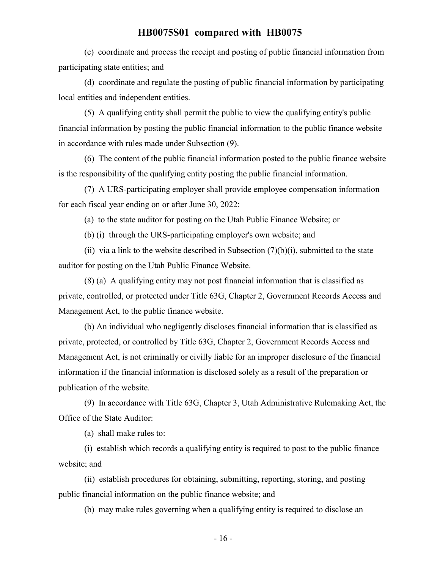(c) coordinate and process the receipt and posting of public financial information from participating state entities; and

(d) coordinate and regulate the posting of public financial information by participating local entities and independent entities.

(5) A qualifying entity shall permit the public to view the qualifying entity's public financial information by posting the public financial information to the public finance website in accordance with rules made under Subsection (9).

(6) The content of the public financial information posted to the public finance website is the responsibility of the qualifying entity posting the public financial information.

(7) A URS-participating employer shall provide employee compensation information for each fiscal year ending on or after June 30, 2022:

(a) to the state auditor for posting on the Utah Public Finance Website; or

(b) (i) through the URS-participating employer's own website; and

(ii) via a link to the website described in Subsection  $(7)(b)(i)$ , submitted to the state auditor for posting on the Utah Public Finance Website.

(8) (a) A qualifying entity may not post financial information that is classified as private, controlled, or protected under Title 63G, Chapter 2, Government Records Access and Management Act, to the public finance website.

(b) An individual who negligently discloses financial information that is classified as private, protected, or controlled by Title 63G, Chapter 2, Government Records Access and Management Act, is not criminally or civilly liable for an improper disclosure of the financial information if the financial information is disclosed solely as a result of the preparation or publication of the website.

(9) In accordance with Title 63G, Chapter 3, Utah Administrative Rulemaking Act, the Office of the State Auditor:

(a) shall make rules to:

(i) establish which records a qualifying entity is required to post to the public finance website; and

(ii) establish procedures for obtaining, submitting, reporting, storing, and posting public financial information on the public finance website; and

(b) may make rules governing when a qualifying entity is required to disclose an